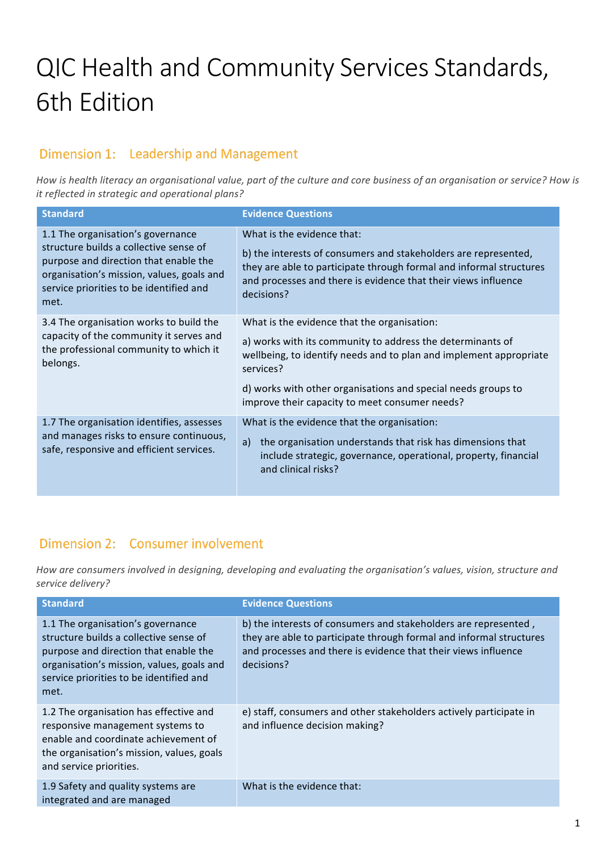# QIC Health and Community Services Standards, **6th Edition**

# Dimension 1: Leadership and Management

How is health literacy an organisational value, part of the culture and core business of an organisation or service? How is *it reflected in strategic and operational plans?* 

| <b>Standard</b>                                                                                                                                                                                                      | <b>Evidence Questions</b>                                                                                                                                                                                                                                                                                       |
|----------------------------------------------------------------------------------------------------------------------------------------------------------------------------------------------------------------------|-----------------------------------------------------------------------------------------------------------------------------------------------------------------------------------------------------------------------------------------------------------------------------------------------------------------|
| 1.1 The organisation's governance<br>structure builds a collective sense of<br>purpose and direction that enable the<br>organisation's mission, values, goals and<br>service priorities to be identified and<br>met. | What is the evidence that:<br>b) the interests of consumers and stakeholders are represented,<br>they are able to participate through formal and informal structures<br>and processes and there is evidence that their views influence<br>decisions?                                                            |
| 3.4 The organisation works to build the<br>capacity of the community it serves and<br>the professional community to which it<br>belongs.                                                                             | What is the evidence that the organisation:<br>a) works with its community to address the determinants of<br>wellbeing, to identify needs and to plan and implement appropriate<br>services?<br>d) works with other organisations and special needs groups to<br>improve their capacity to meet consumer needs? |
| 1.7 The organisation identifies, assesses<br>and manages risks to ensure continuous,<br>safe, responsive and efficient services.                                                                                     | What is the evidence that the organisation:<br>the organisation understands that risk has dimensions that<br>a)<br>include strategic, governance, operational, property, financial<br>and clinical risks?                                                                                                       |

## Dimension 2: Consumer involvement

How are consumers involved in designing, developing and evaluating the organisation's values, vision, structure and *service delivery?*

| <b>Standard</b>                                                                                                                                                                                                      | <b>Evidence Questions</b>                                                                                                                                                                                              |
|----------------------------------------------------------------------------------------------------------------------------------------------------------------------------------------------------------------------|------------------------------------------------------------------------------------------------------------------------------------------------------------------------------------------------------------------------|
| 1.1 The organisation's governance<br>structure builds a collective sense of<br>purpose and direction that enable the<br>organisation's mission, values, goals and<br>service priorities to be identified and<br>met. | b) the interests of consumers and stakeholders are represented,<br>they are able to participate through formal and informal structures<br>and processes and there is evidence that their views influence<br>decisions? |
| 1.2 The organisation has effective and<br>responsive management systems to<br>enable and coordinate achievement of<br>the organisation's mission, values, goals<br>and service priorities.                           | e) staff, consumers and other stakeholders actively participate in<br>and influence decision making?                                                                                                                   |
| 1.9 Safety and quality systems are<br>integrated and are managed                                                                                                                                                     | What is the evidence that:                                                                                                                                                                                             |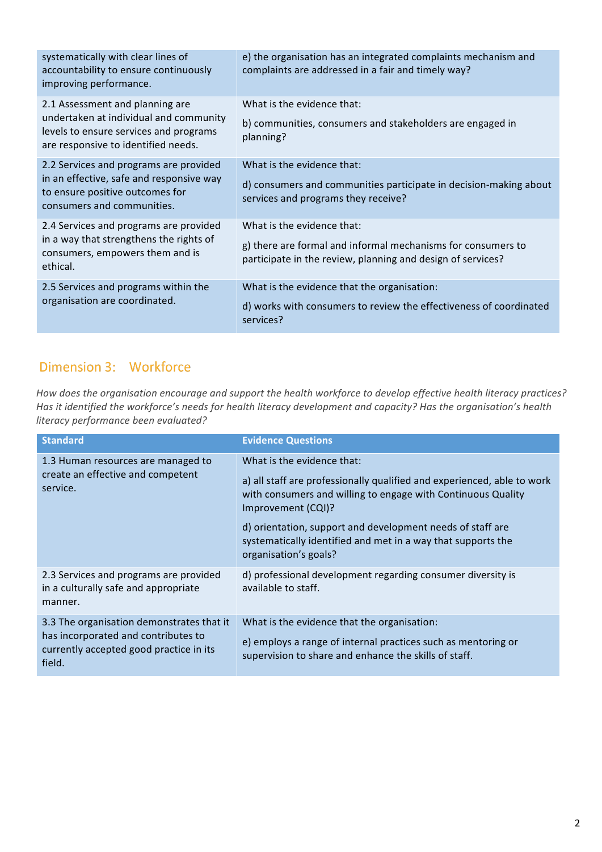| systematically with clear lines of<br>accountability to ensure continuously<br>improving performance.                                                      | e) the organisation has an integrated complaints mechanism and<br>complaints are addressed in a fair and timely way?                                      |
|------------------------------------------------------------------------------------------------------------------------------------------------------------|-----------------------------------------------------------------------------------------------------------------------------------------------------------|
| 2.1 Assessment and planning are<br>undertaken at individual and community<br>levels to ensure services and programs<br>are responsive to identified needs. | What is the evidence that:<br>b) communities, consumers and stakeholders are engaged in<br>planning?                                                      |
| 2.2 Services and programs are provided<br>in an effective, safe and responsive way<br>to ensure positive outcomes for<br>consumers and communities.        | What is the evidence that:<br>d) consumers and communities participate in decision-making about<br>services and programs they receive?                    |
| 2.4 Services and programs are provided<br>in a way that strengthens the rights of<br>consumers, empowers them and is<br>ethical.                           | What is the evidence that:<br>g) there are formal and informal mechanisms for consumers to<br>participate in the review, planning and design of services? |
| 2.5 Services and programs within the<br>organisation are coordinated.                                                                                      | What is the evidence that the organisation:<br>d) works with consumers to review the effectiveness of coordinated<br>services?                            |

# Dimension 3: Workforce

How does the organisation encourage and support the health workforce to develop effective health literacy practices? Has it identified the workforce's needs for health literacy development and capacity? Has the organisation's health *literacy performance been evaluated?*

| <b>Standard</b>                                                                                                                       | <b>Evidence Questions</b>                                                                                                                                                                                                                                                                                                                          |
|---------------------------------------------------------------------------------------------------------------------------------------|----------------------------------------------------------------------------------------------------------------------------------------------------------------------------------------------------------------------------------------------------------------------------------------------------------------------------------------------------|
| 1.3 Human resources are managed to<br>create an effective and competent<br>service.                                                   | What is the evidence that:<br>a) all staff are professionally qualified and experienced, able to work<br>with consumers and willing to engage with Continuous Quality<br>Improvement (CQI)?<br>d) orientation, support and development needs of staff are<br>systematically identified and met in a way that supports the<br>organisation's goals? |
| 2.3 Services and programs are provided<br>in a culturally safe and appropriate<br>manner.                                             | d) professional development regarding consumer diversity is<br>available to staff.                                                                                                                                                                                                                                                                 |
| 3.3 The organisation demonstrates that it<br>has incorporated and contributes to<br>currently accepted good practice in its<br>field. | What is the evidence that the organisation:<br>e) employs a range of internal practices such as mentoring or<br>supervision to share and enhance the skills of staff.                                                                                                                                                                              |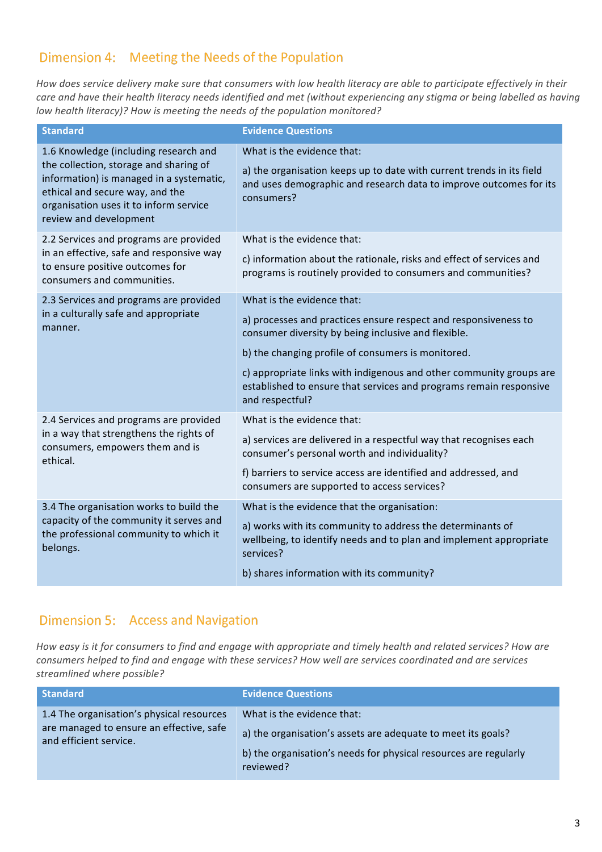#### Dimension 4: Meeting the Needs of the Population

How does service delivery make sure that consumers with low health literacy are able to participate effectively in their care and have their health literacy needs identified and met (without experiencing any stigma or being labelled as having *low health literacy)?* How is meeting the needs of the population monitored?

| <b>Standard</b>                                                                                                                                                                                                                    | <b>Evidence Questions</b>                                                                                                                                                                                                                                                                                                                                                  |
|------------------------------------------------------------------------------------------------------------------------------------------------------------------------------------------------------------------------------------|----------------------------------------------------------------------------------------------------------------------------------------------------------------------------------------------------------------------------------------------------------------------------------------------------------------------------------------------------------------------------|
| 1.6 Knowledge (including research and<br>the collection, storage and sharing of<br>information) is managed in a systematic,<br>ethical and secure way, and the<br>organisation uses it to inform service<br>review and development | What is the evidence that:<br>a) the organisation keeps up to date with current trends in its field<br>and uses demographic and research data to improve outcomes for its<br>consumers?                                                                                                                                                                                    |
| 2.2 Services and programs are provided<br>in an effective, safe and responsive way<br>to ensure positive outcomes for<br>consumers and communities.                                                                                | What is the evidence that:<br>c) information about the rationale, risks and effect of services and<br>programs is routinely provided to consumers and communities?                                                                                                                                                                                                         |
| 2.3 Services and programs are provided<br>in a culturally safe and appropriate<br>manner.                                                                                                                                          | What is the evidence that:<br>a) processes and practices ensure respect and responsiveness to<br>consumer diversity by being inclusive and flexible.<br>b) the changing profile of consumers is monitored.<br>c) appropriate links with indigenous and other community groups are<br>established to ensure that services and programs remain responsive<br>and respectful? |
| 2.4 Services and programs are provided<br>in a way that strengthens the rights of<br>consumers, empowers them and is<br>ethical.                                                                                                   | What is the evidence that:<br>a) services are delivered in a respectful way that recognises each<br>consumer's personal worth and individuality?<br>f) barriers to service access are identified and addressed, and<br>consumers are supported to access services?                                                                                                         |
| 3.4 The organisation works to build the<br>capacity of the community it serves and<br>the professional community to which it<br>belongs.                                                                                           | What is the evidence that the organisation:<br>a) works with its community to address the determinants of<br>wellbeing, to identify needs and to plan and implement appropriate<br>services?<br>b) shares information with its community?                                                                                                                                  |

#### Dimension 5: Access and Navigation

How easy is it for consumers to find and engage with appropriate and timely health and related services? How are *consumers helped to find and engage with these services? How well are services coordinated and are services streamlined where possible?*

| Standard                                                                                                        | <b>Evidence Questions</b>                                                                                                                                                   |
|-----------------------------------------------------------------------------------------------------------------|-----------------------------------------------------------------------------------------------------------------------------------------------------------------------------|
| 1.4 The organisation's physical resources<br>are managed to ensure an effective, safe<br>and efficient service. | What is the evidence that:<br>a) the organisation's assets are adequate to meet its goals?<br>b) the organisation's needs for physical resources are regularly<br>reviewed? |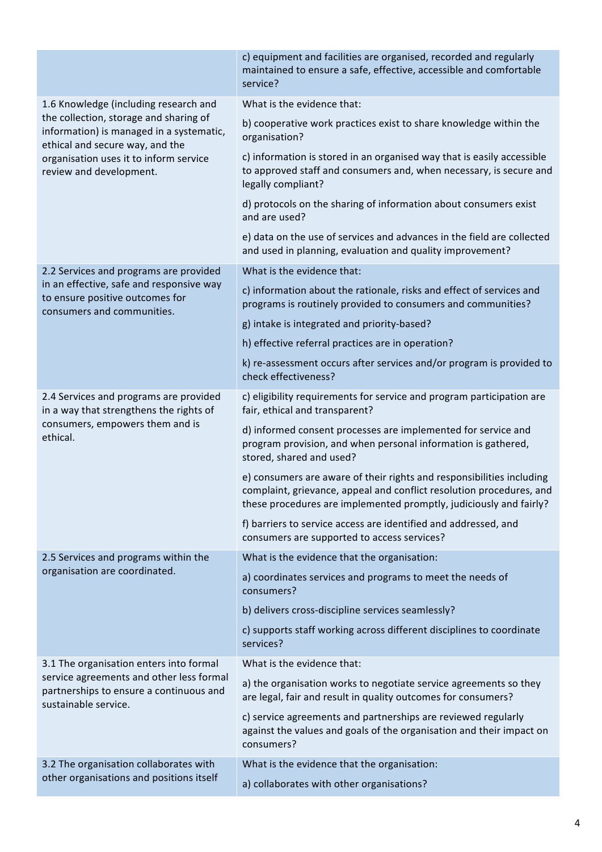|                                                                                                                                                                                            | c) equipment and facilities are organised, recorded and regularly<br>maintained to ensure a safe, effective, accessible and comfortable<br>service?                                                                 |
|--------------------------------------------------------------------------------------------------------------------------------------------------------------------------------------------|---------------------------------------------------------------------------------------------------------------------------------------------------------------------------------------------------------------------|
| 1.6 Knowledge (including research and                                                                                                                                                      | What is the evidence that:                                                                                                                                                                                          |
| the collection, storage and sharing of<br>information) is managed in a systematic,<br>ethical and secure way, and the<br>organisation uses it to inform service<br>review and development. | b) cooperative work practices exist to share knowledge within the<br>organisation?                                                                                                                                  |
|                                                                                                                                                                                            | c) information is stored in an organised way that is easily accessible<br>to approved staff and consumers and, when necessary, is secure and<br>legally compliant?                                                  |
|                                                                                                                                                                                            | d) protocols on the sharing of information about consumers exist<br>and are used?                                                                                                                                   |
|                                                                                                                                                                                            | e) data on the use of services and advances in the field are collected<br>and used in planning, evaluation and quality improvement?                                                                                 |
| 2.2 Services and programs are provided                                                                                                                                                     | What is the evidence that:                                                                                                                                                                                          |
| in an effective, safe and responsive way<br>to ensure positive outcomes for<br>consumers and communities.                                                                                  | c) information about the rationale, risks and effect of services and<br>programs is routinely provided to consumers and communities?                                                                                |
|                                                                                                                                                                                            | g) intake is integrated and priority-based?                                                                                                                                                                         |
|                                                                                                                                                                                            | h) effective referral practices are in operation?                                                                                                                                                                   |
|                                                                                                                                                                                            | k) re-assessment occurs after services and/or program is provided to<br>check effectiveness?                                                                                                                        |
| 2.4 Services and programs are provided<br>in a way that strengthens the rights of                                                                                                          | c) eligibility requirements for service and program participation are<br>fair, ethical and transparent?                                                                                                             |
| consumers, empowers them and is<br>ethical.                                                                                                                                                | d) informed consent processes are implemented for service and<br>program provision, and when personal information is gathered,<br>stored, shared and used?                                                          |
|                                                                                                                                                                                            | e) consumers are aware of their rights and responsibilities including<br>complaint, grievance, appeal and conflict resolution procedures, and<br>these procedures are implemented promptly, judiciously and fairly? |
|                                                                                                                                                                                            | f) barriers to service access are identified and addressed, and<br>consumers are supported to access services?                                                                                                      |
| 2.5 Services and programs within the                                                                                                                                                       | What is the evidence that the organisation:                                                                                                                                                                         |
| organisation are coordinated.                                                                                                                                                              | a) coordinates services and programs to meet the needs of<br>consumers?                                                                                                                                             |
|                                                                                                                                                                                            | b) delivers cross-discipline services seamlessly?                                                                                                                                                                   |
|                                                                                                                                                                                            | c) supports staff working across different disciplines to coordinate<br>services?                                                                                                                                   |
| 3.1 The organisation enters into formal<br>service agreements and other less formal<br>partnerships to ensure a continuous and<br>sustainable service.                                     | What is the evidence that:                                                                                                                                                                                          |
|                                                                                                                                                                                            | a) the organisation works to negotiate service agreements so they<br>are legal, fair and result in quality outcomes for consumers?                                                                                  |
|                                                                                                                                                                                            | c) service agreements and partnerships are reviewed regularly<br>against the values and goals of the organisation and their impact on<br>consumers?                                                                 |
| 3.2 The organisation collaborates with<br>other organisations and positions itself                                                                                                         | What is the evidence that the organisation:                                                                                                                                                                         |
|                                                                                                                                                                                            | a) collaborates with other organisations?                                                                                                                                                                           |